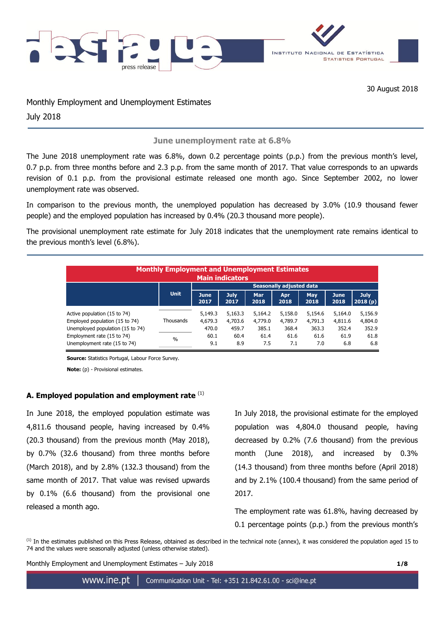

30 August 2018

Monthly Employment and Unemployment Estimates July 2018

**June unemployment rate at 6.8%**

The June 2018 unemployment rate was 6.8%, down 0.2 percentage points (p.p.) from the previous month's level, 0.7 p.p. from three months before and 2.3 p.p. from the same month of 2017. That value corresponds to an upwards revision of 0.1 p.p. from the provisional estimate released one month ago. Since September 2002, no lower unemployment rate was observed.

In comparison to the previous month, the unemployed population has decreased by 3.0% (10.9 thousand fewer people) and the employed population has increased by 0.4% (20.3 thousand more people).

The provisional unemployment rate estimate for July 2018 indicates that the unemployment rate remains identical to the previous month's level (6.8%).

| <b>Monthly Employment and Unemployment Estimates</b><br><b>Main indicators</b>                     |               |                                 |                             |                             |                             |                             |                             |                             |  |  |
|----------------------------------------------------------------------------------------------------|---------------|---------------------------------|-----------------------------|-----------------------------|-----------------------------|-----------------------------|-----------------------------|-----------------------------|--|--|
|                                                                                                    |               | <b>Seasonally adjusted data</b> |                             |                             |                             |                             |                             |                             |  |  |
|                                                                                                    | <b>Unit</b>   | <b>June</b><br>2017             | <b>July</b><br>2017         | <b>Mar</b><br>2018          | Apr<br>2018                 | May<br>2018                 | <b>June</b><br>2018         | July<br>2018(p)             |  |  |
| Active population (15 to 74)<br>Employed population (15 to 74)<br>Unemployed population (15 to 74) | Thousands     | 5,149.3<br>4,679.3<br>470.0     | 5,163.3<br>4,703.6<br>459.7 | 5,164.2<br>4,779.0<br>385.1 | 5,158.0<br>4,789.7<br>368.4 | 5,154.6<br>4,791.3<br>363.3 | 5,164.0<br>4,811.6<br>352.4 | 5,156.9<br>4,804.0<br>352.9 |  |  |
| Employment rate (15 to 74)<br>Unemployment rate (15 to 74)                                         | $\frac{0}{0}$ | 60.1<br>9.1                     | 60.4<br>8.9                 | 61.4<br>7.5                 | 61.6<br>7.1                 | 61.6<br>7.0                 | 61.9<br>6.8                 | 61.8<br>6.8                 |  |  |

**Source:** Statistics Portugal, Labour Force Survey.

**Note:** (p) - Provisional estimates.

# **A. Employed population and employment rate** (1)

In June 2018, the employed population estimate was 4,811.6 thousand people, having increased by 0.4% (20.3 thousand) from the previous month (May 2018), by 0.7% (32.6 thousand) from three months before (March 2018), and by 2.8% (132.3 thousand) from the same month of 2017. That value was revised upwards by 0.1% (6.6 thousand) from the provisional one released a month ago.

In July 2018, the provisional estimate for the employed population was 4,804.0 thousand people, having decreased by 0.2% (7.6 thousand) from the previous month (June 2018), and increased by 0.3% (14.3 thousand) from three months before (April 2018) and by 2.1% (100.4 thousand) from the same period of 2017.

The employment rate was 61.8%, having decreased by 0.1 percentage points (p.p.) from the previous month's

 $<sup>(1)</sup>$  In the estimates published on this Press Release, obtained as described in the technical note (annex), it was considered the population aged 15 to</sup> 74 and the values were seasonally adjusted (unless otherwise stated).

Monthly Employment and Unemployment Estimates – July 2018 **1/8**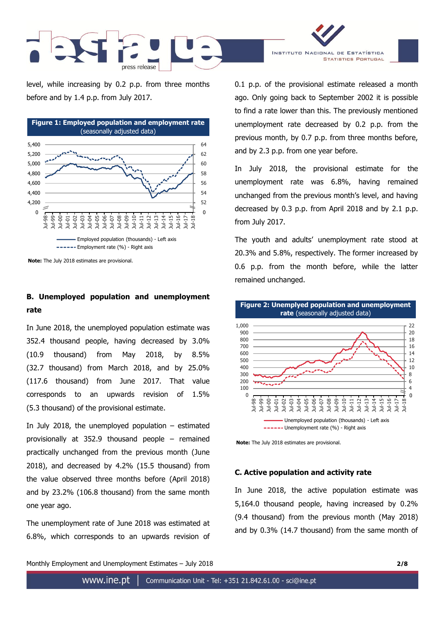

level, while increasing by 0.2 p.p. from three months before and by 1.4 p.p. from July 2017.



**Note:** The July 2018 estimates are provisional.

# **B. Unemployed population and unemployment rate**

In June 2018, the unemployed population estimate was 352.4 thousand people, having decreased by 3.0% (10.9 thousand) from May 2018, by 8.5% (32.7 thousand) from March 2018, and by 25.0% (117.6 thousand) from June 2017. That value corresponds to an upwards revision of 1.5% (5.3 thousand) of the provisional estimate.

In July 2018, the unemployed population  $-$  estimated provisionally at 352.9 thousand people – remained practically unchanged from the previous month (June 2018), and decreased by 4.2% (15.5 thousand) from the value observed three months before (April 2018) and by 23.2% (106.8 thousand) from the same month one year ago.

The unemployment rate of June 2018 was estimated at 6.8%, which corresponds to an upwards revision of

0.1 p.p. of the provisional estimate released a month ago. Only going back to September 2002 it is possible to find a rate lower than this. The previously mentioned unemployment rate decreased by 0.2 p.p. from the previous month, by 0.7 p.p. from three months before, and by 2.3 p.p. from one year before.

INSTITUTO NACIONAL DE ESTATÍSTICA

**STATISTICS PORTUGAL** 

In July 2018, the provisional estimate for the unemployment rate was 6.8%, having remained unchanged from the previous month's level, and having decreased by 0.3 p.p. from April 2018 and by 2.1 p.p. from July 2017.

The youth and adults' unemployment rate stood at 20.3% and 5.8%, respectively. The former increased by 0.6 p.p. from the month before, while the latter remained unchanged.



**Note:** The July 2018 estimates are provisional.

### **C. Active population and activity rate**

In June 2018, the active population estimate was 5,164.0 thousand people, having increased by 0.2% (9.4 thousand) from the previous month (May 2018) and by 0.3% (14.7 thousand) from the same month of

Monthly Employment and Unemployment Estimates – July 2018 **2/8**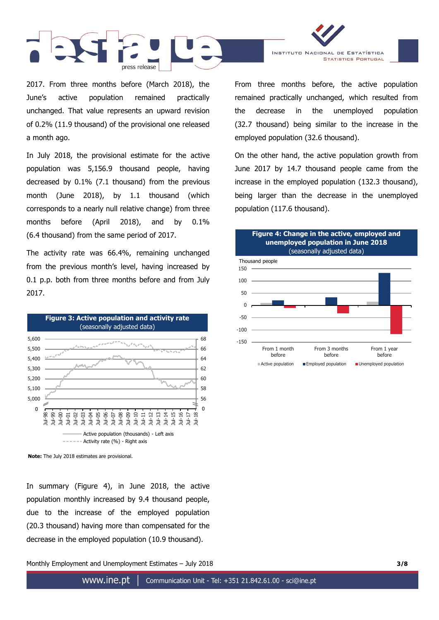

2017. From three months before (March 2018), the June's active population remained practically unchanged. That value represents an upward revision of 0.2% (11.9 thousand) of the provisional one released a month ago.

In July 2018, the provisional estimate for the active population was 5,156.9 thousand people, having decreased by 0.1% (7.1 thousand) from the previous month (June 2018), by 1.1 thousand (which corresponds to a nearly null relative change) from three months before (April 2018), and by 0.1% (6.4 thousand) from the same period of 2017.

The activity rate was 66.4%, remaining unchanged from the previous month's level, having increased by 0.1 p.p. both from three months before and from July 2017.



**Note:** The July 2018 estimates are provisional.

In summary (Figure 4), in June 2018, the active population monthly increased by 9.4 thousand people, due to the increase of the employed population (20.3 thousand) having more than compensated for the decrease in the employed population (10.9 thousand).

Monthly Employment and Unemployment Estimates – July 2018 **3/8**

From three months before, the active population remained practically unchanged, which resulted from the decrease in the unemployed population (32.7 thousand) being similar to the increase in the

INSTITUTO NACIONAL DE ESTATÍSTICA

**STATISTICS PORTUGAL** 

employed population (32.6 thousand).

On the other hand, the active population growth from June 2017 by 14.7 thousand people came from the increase in the employed population (132.3 thousand), being larger than the decrease in the unemployed population (117.6 thousand).

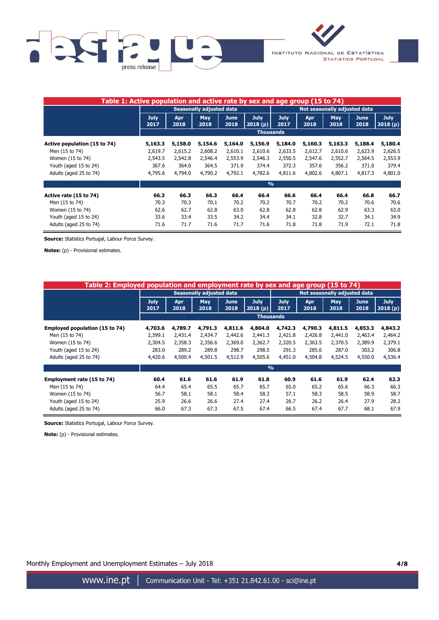



| Table 1: Active population and active rate by sex and age group (15 to 74) |                                 |                    |             |                     |                        |                              |                    |                    |                     |                        |
|----------------------------------------------------------------------------|---------------------------------|--------------------|-------------|---------------------|------------------------|------------------------------|--------------------|--------------------|---------------------|------------------------|
|                                                                            | <b>Seasonally adjusted data</b> |                    |             |                     |                        | Not seasonally adjusted data |                    |                    |                     |                        |
|                                                                            | <b>July</b><br>2017             | <b>Apr</b><br>2018 | May<br>2018 | <b>June</b><br>2018 | <b>July</b><br>2018(p) | <b>July</b><br>2017          | <b>Apr</b><br>2018 | <b>May</b><br>2018 | <b>June</b><br>2018 | <b>July</b><br>2018(p) |
|                                                                            | <b>Thousands</b>                |                    |             |                     |                        |                              |                    |                    |                     |                        |
| Active population (15 to 74)                                               | 5,163.3                         | 5,158.0            | 5,154.6     | 5,164.0             | 5,156.9                | 5,184.0                      | 5,160.3            | 5,163.3            | 5,188.4             | 5,180.4                |
| Men (15 to 74)                                                             | 2,619.7                         | 2,615.2            | 2,608.2     | 2,610.1             | 2,610.6                | 2,633.5                      | 2,612.7            | 2,610.6            | 2,623.9             | 2,626.5                |
| Women (15 to 74)                                                           | 2,543.5                         | 2,542.8            | 2,546.4     | 2,553.9             | 2,546.3                | 2,550.5                      | 2,547.6            | 2,552.7            | 2,564.5             | 2,553.9                |
| Youth (aged 15 to 24)                                                      | 367.6                           | 364.0              | 364.5       | 371.9               | 374.4                  | 372.3                        | 357.6              | 356.2              | 371.0               | 379.4                  |
| Adults (aged 25 to 74)                                                     | 4,795.6                         | 4,794.0            | 4,790.2     | 4,792.1             | 4,782.6                | 4,811.6                      | 4,802.6            | 4,807.1            | 4,817.3             | 4,801.0                |
|                                                                            |                                 |                    |             |                     | $\frac{0}{0}$          |                              |                    |                    |                     |                        |
| Active rate (15 to 74)                                                     | 66.3                            | 66.3               | 66.3        | 66.4                | 66.4                   | 66.6                         | 66.4               | 66.4               | 66.8                | 66.7                   |
| Men (15 to 74)                                                             | 70.3                            | 70.3               | 70.1        | 70.2                | 70.2                   | 70.7                         | 70.2               | 70.2               | 70.6                | 70.6                   |
| Women (15 to 74)                                                           | 62.6                            | 62.7               | 62.8        | 63.0                | 62.8                   | 62.8                         | 62.8               | 62.9               | 63.3                | 63.0                   |
| Youth (aged 15 to 24)                                                      | 33.6                            | 33.4               | 33.5        | 34.2                | 34.4                   | 34.1                         | 32.8               | 32.7               | 34.1                | 34.9                   |
| Adults (aged 25 to 74)                                                     | 71.6                            | 71.7               | 71.6        | 71.7                | 71.6                   | 71.8                         | 71.8               | 71.9               | 72.1                | 71.8                   |

**Source:** Statistics Portugal, Labour Force Survey.

**Notes:** (p) - Provisional estimates.

| Table 2: Employed population and employment rate by sex and age group (15 to 74) |                                 |             |                    |                     |                        |                              |             |                    |                     |                        |  |
|----------------------------------------------------------------------------------|---------------------------------|-------------|--------------------|---------------------|------------------------|------------------------------|-------------|--------------------|---------------------|------------------------|--|
|                                                                                  | <b>Seasonally adjusted data</b> |             |                    |                     |                        | Not seasonally adjusted data |             |                    |                     |                        |  |
|                                                                                  | <b>July</b><br>2017             | Apr<br>2018 | <b>May</b><br>2018 | <b>June</b><br>2018 | <b>July</b><br>2018(p) | <b>July</b><br>2017          | Apr<br>2018 | <b>May</b><br>2018 | <b>June</b><br>2018 | <b>July</b><br>2018(p) |  |
|                                                                                  |                                 |             |                    |                     | <b>Thousands</b>       |                              |             |                    |                     |                        |  |
| Employed population (15 to 74)                                                   | 4,703.6                         | 4,789.7     | 4,791.3            | 4,811.6             | 4,804.0                | 4,742.3                      | 4,790.3     | 4,811.5            | 4,853.3             | 4,843.2                |  |
| Men (15 to 74)                                                                   | 2,399.1                         | 2,431.4     | 2,434.7            | 2,442.6             | 2,441.3                | 2,421.8                      | 2,426.8     | 2,441.0            | 2,463.4             | 2,464.2                |  |
| Women (15 to 74)                                                                 | 2,304.5                         | 2,358.3     | 2,356.6            | 2,369.0             | 2,362.7                | 2,320.5                      | 2,363.5     | 2,370.5            | 2,389.9             | 2,379.1                |  |
| Youth (aged 15 to 24)                                                            | 283.0                           | 289.2       | 289.8              | 298.7               | 298.5                  | 291.3                        | 285.6       | 287.0              | 303.2               | 306.8                  |  |
| Adults (aged 25 to 74)                                                           | 4,420.6                         | 4,500.4     | 4,501.5            | 4,512.9             | 4,505.6                | 4,451.0                      | 4,504.8     | 4,524.5            | 4,550.0             | 4,536.4                |  |
|                                                                                  | $\frac{0}{0}$                   |             |                    |                     |                        |                              |             |                    |                     |                        |  |
| Employment rate (15 to 74)                                                       | 60.4                            | 61.6        | 61.6               | 61.9                | 61.8                   | 60.9                         | 61.6        | 61.9               | 62.4                | 62.3                   |  |
| Men (15 to 74)                                                                   | 64.4                            | 65.4        | 65.5               | 65.7                | 65.7                   | 65.0                         | 65.2        | 65.6               | 66.3                | 66.3                   |  |
| Women (15 to 74)                                                                 | 56.7                            | 58.1        | 58.1               | 58.4                | 58.3                   | 57.1                         | 58.3        | 58.5               | 58.9                | 58.7                   |  |
| Youth (aged 15 to 24)                                                            | 25.9                            | 26.6        | 26.6               | 27.4                | 27.4                   | 26.7                         | 26.2        | 26.4               | 27.9                | 28.2                   |  |
| Adults (aged 25 to 74)                                                           | 66.0                            | 67.3        | 67.3               | 67.5                | 67.4                   | 66.5                         | 67.4        | 67.7               | 68.1                | 67.9                   |  |

**Source:** Statistics Portugal, Labour Force Survey.

**Note:** (p) - Provisional estimates.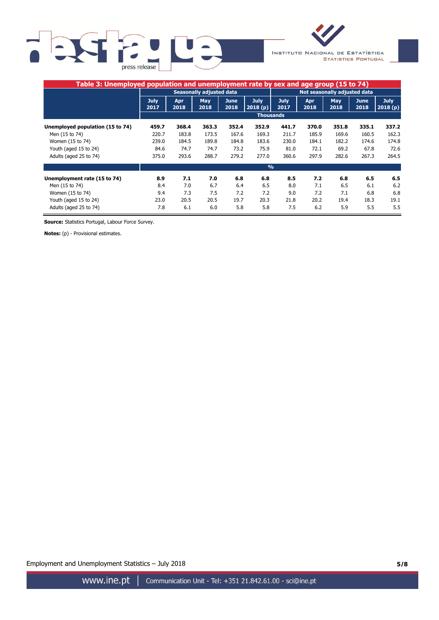



| Table 3: Unemployed population and unemployment rate by sex and age group (15 to 74) |                                 |             |                    |                     |                              |                     |             |                    |              |                        |
|--------------------------------------------------------------------------------------|---------------------------------|-------------|--------------------|---------------------|------------------------------|---------------------|-------------|--------------------|--------------|------------------------|
|                                                                                      | <b>Seasonally adjusted data</b> |             |                    |                     | Not seasonally adjusted data |                     |             |                    |              |                        |
|                                                                                      | <b>July</b><br>2017             | Apr<br>2018 | <b>May</b><br>2018 | <b>June</b><br>2018 | <b>July</b><br>2018(p)       | <b>July</b><br>2017 | Apr<br>2018 | <b>May</b><br>2018 | June<br>2018 | <b>July</b><br>2018(p) |
|                                                                                      |                                 |             |                    |                     |                              | <b>Thousands</b>    |             |                    |              |                        |
| Unemployed population (15 to 74)                                                     | 459.7                           | 368.4       | 363.3              | 352.4               | 352.9                        | 441.7               | 370.0       | 351.8              | 335.1        | 337.2                  |
| Men (15 to 74)                                                                       | 220.7                           | 183.8       | 173.5              | 167.6               | 169.3                        | 211.7               | 185.9       | 169.6              | 160.5        | 162.3                  |
| Women (15 to 74)                                                                     | 239.0                           | 184.5       | 189.8              | 184.8               | 183.6                        | 230.0               | 184.1       | 182.2              | 174.6        | 174.8                  |
| Youth (aged 15 to 24)                                                                | 84.6                            | 74.7        | 74.7               | 73.2                | 75.9                         | 81.0                | 72.1        | 69.2               | 67.8         | 72.6                   |
| Adults (aged 25 to 74)                                                               | 375.0                           | 293.6       | 288.7              | 279.2               | 277.0                        | 360.6               | 297.9       | 282.6              | 267.3        | 264.5                  |
|                                                                                      | $\frac{0}{0}$                   |             |                    |                     |                              |                     |             |                    |              |                        |
| Unemployment rate (15 to 74)                                                         | 8.9                             | 7.1         | 7.0                | 6.8                 | 6.8                          | 8.5                 | 7.2         | 6.8                | 6.5          | 6.5                    |
| Men (15 to 74)                                                                       | 8.4                             | 7.0         | 6.7                | 6.4                 | 6.5                          | 8.0                 | 7.1         | 6.5                | 6.1          | 6.2                    |
| Women (15 to 74)                                                                     | 9.4                             | 7.3         | 7.5                | 7.2                 | 7.2                          | 9.0                 | 7.2         | 7.1                | 6.8          | 6.8                    |
| Youth (aged 15 to 24)                                                                | 23.0                            | 20.5        | 20.5               | 19.7                | 20.3                         | 21.8                | 20.2        | 19.4               | 18.3         | 19.1                   |
| Adults (aged 25 to 74)                                                               | 7.8                             | 6.1         | 6.0                | 5.8                 | 5.8                          | 7.5                 | 6.2         | 5.9                | 5.5          | 5.5                    |

**Source:** Statistics Portugal, Labour Force Survey.

**Notes:** (p) - Provisional estimates.

Employment and Unemployment Statistics – July 2018 **5/8**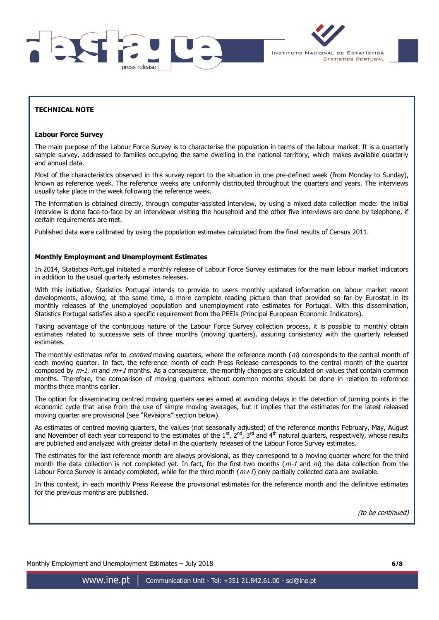



# **TECHNICAL NOTE**

#### **Labour Force Survey**

The main purpose of the Labour Force Survey is to characterise the population in terms of the labour market. It is a quarterly sample survey, addressed to families occupying the same dwelling in the national territory, which makes available quarterly and annual data.

Most of the characteristics observed in this survey report to the situation in one pre-defined week (from Monday to Sunday), known as reference week. The reference weeks are uniformly distributed throughout the quarters and years. The interviews usually take place in the week following the reference week.

The information is obtained directly, through computer-assisted interview, by using a mixed data collection mode: the initial interview is done face-to-face by an interviewer visiting the household and the other five interviews are done by telephone, if certain requirements are met.

Published data were calibrated by using the population estimates calculated from the final results of Census 2011.

#### **Monthly Employment and Unemployment Estimates**

In 2014, Statistics Portugal initiated a monthly release of Labour Force Survey estimates for the main labour market indicators in addition to the usual quarterly estimates releases.

With this initiative, Statistics Portugal intends to provide to users monthly updated information on labour market recent developments, allowing, at the same time, a more complete reading picture than that provided so far by Eurostat in its monthly releases of the unemployed population and unemployment rate estimates for Portugal. With this dissemination, Statistics Portugal satisfies also a specific requirement from the PEEIs (Principal European Economic Indicators).

Taking advantage of the continuous nature of the Labour Force Survey collection process, it is possible to monthly obtain estimates related to successive sets of three months (moving quarters), assuring consistency with the quarterly released estimates.

The monthly estimates refer to *centred* moving quarters, where the reference month  $(m)$  corresponds to the central month of each moving quarter. In fact, the reference month of each Press Release corresponds to the central month of the quarter composed by  $m-1$ , m and  $m+1$  months. As a consequence, the monthly changes are calculated on values that contain common months. Therefore, the comparison of moving quarters without common months should be done in relation to reference months three months earlier.

The option for disseminating centred moving quarters series aimed at avoiding delays in the detection of turning points in the economic cycle that arise from the use of simple moving averages, but it implies that the estimates for the latest released moving quarter are provisional (see "Revisions" section below).

As estimates of centred moving quarters, the values (not seasonally adjusted) of the reference months February, May, August and November of each year correspond to the estimates of the  $1^{st}$ ,  $2^{nd}$ ,  $3^{rd}$  and  $4^{th}$  natural quarters, respectively, whose results are published and analyzed with greater detail in the quarterly releases of the Labour Force Survey estimates.

The estimates for the last reference month are always provisional, as they correspond to a moving quarter where for the third month the data collection is not completed yet. In fact, for the first two months ( $m-1$  and  $m$ ) the data collection from the Labour Force Survey is already completed, while for the third month  $(m+1)$  only partially collected data are available.

In this context, in each monthly Press Release the provisional estimates for the reference month and the definitive estimates for the previous months are published.

(to be continued)

Monthly Employment and Unemployment Estimates – July 2018 **6/8**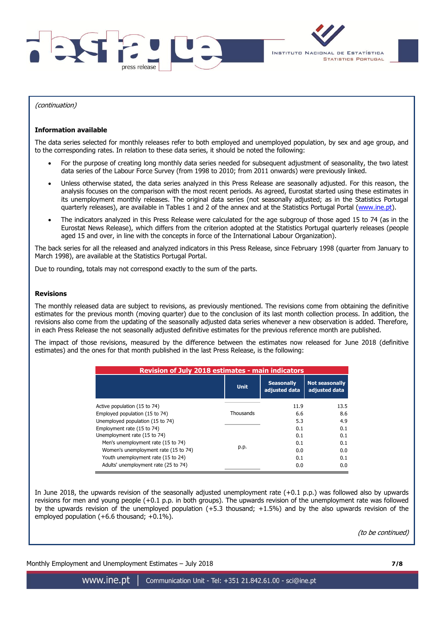



(continuation)

#### **Information available**

The data series selected for monthly releases refer to both employed and unemployed population, by sex and age group, and to the corresponding rates. In relation to these data series, it should be noted the following:

- For the purpose of creating long monthly data series needed for subsequent adjustment of seasonality, the two latest data series of the Labour Force Survey (from 1998 to 2010; from 2011 onwards) were previously linked.
- Unless otherwise stated, the data series analyzed in this Press Release are seasonally adjusted. For this reason, the analysis focuses on the comparison with the most recent periods. As agreed, Eurostat started using these estimates in its unemployment monthly releases. The original data series (not seasonally adjusted; as in the Statistics Portugal quarterly releases), are available in Tables 1 and 2 of the annex and at the Statistics Portugal Portal [\(www.ine.pt\)](../2016_09/www.ine.pt).
- The indicators analyzed in this Press Release were calculated for the age subgroup of those aged 15 to 74 (as in the Eurostat News Release), which differs from the criterion adopted at the Statistics Portugal quarterly releases (people aged 15 and over, in line with the concepts in force of the International Labour Organization).

The back series for all the released and analyzed indicators in this Press Release, since February 1998 (quarter from January to March 1998), are available at the Statistics Portugal Portal.

Due to rounding, totals may not correspond exactly to the sum of the parts.

#### **Revisions**

The monthly released data are subject to revisions, as previously mentioned. The revisions come from obtaining the definitive estimates for the previous month (moving quarter) due to the conclusion of its last month collection process. In addition, the revisions also come from the updating of the seasonally adjusted data series whenever a new observation is added. Therefore, in each Press Release the not seasonally adjusted definitive estimates for the previous reference month are published.

The impact of those revisions, measured by the difference between the estimates now released for June 2018 (definitive estimates) and the ones for that month published in the last Press Release, is the following:

| <b>Revision of July 2018 estimates - main indicators</b> |             |                                    |                                        |  |  |  |  |  |  |  |
|----------------------------------------------------------|-------------|------------------------------------|----------------------------------------|--|--|--|--|--|--|--|
|                                                          | <b>Unit</b> | <b>Seasonally</b><br>adjusted data | <b>Not seasonally</b><br>adjusted data |  |  |  |  |  |  |  |
| Active population (15 to 74)                             |             | 11.9                               | 13.5                                   |  |  |  |  |  |  |  |
| Employed population (15 to 74)                           | Thousands   | 6.6                                | 8.6                                    |  |  |  |  |  |  |  |
| Unemployed population (15 to 74)                         |             | 5.3                                | 4.9                                    |  |  |  |  |  |  |  |
| Employment rate (15 to 74)                               |             | 0.1                                | 0.1                                    |  |  |  |  |  |  |  |
| Unemployment rate (15 to 74)                             |             | 0.1                                | 0.1                                    |  |  |  |  |  |  |  |
| Men's unemployment rate (15 to 74)                       |             | 0.1                                | 0.1                                    |  |  |  |  |  |  |  |
| Women's unemployment rate (15 to 74)                     | p.p.        | 0.0                                | 0.0                                    |  |  |  |  |  |  |  |
| Youth unemployment rate (15 to 24)                       |             | 0.1                                | 0.1                                    |  |  |  |  |  |  |  |
| Adults' unemployment rate (25 to 74)                     |             | 0.0                                | 0.0                                    |  |  |  |  |  |  |  |

In June 2018, the upwards revision of the seasonally adjusted unemployment rate (+0.1 p.p.) was followed also by upwards revisions for men and young people (+0.1 p.p. in both groups). The upwards revision of the unemployment rate was followed by the upwards revision of the unemployed population (+5.3 thousand; +1.5%) and by the also upwards revision of the employed population  $(+6.6$  thousand;  $+0.1\%$ ).

(to be continued)

Monthly Employment and Unemployment Estimates – July 2018 **7/8**